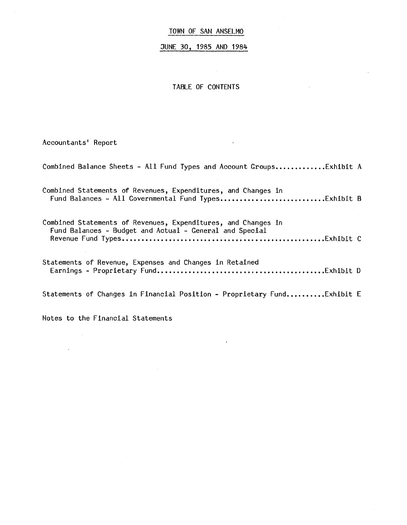JUNE 30, 1985 AND 1984

TABLE OF CONTENTS

Accountants' Report

Combined Balance Sheets - All Fund Types and Account Groups.............Exhibit A Combined Statements of Revenues, Expenditures, and Changes in Fund Balances - All Governmental Fund Types ••••••••••••••••••••••••••• Exhibit B Combined Statements of Revenues, Expenditures, and Changes in Fund Balances - Budget and Actual - General and Special Revenue Fund Types •••••••••••••••••••••••••••••••••••••••••••••••••.•• Exhibit C Statements of Revenue, Expenses and Changes in Retained Earnings - Proprietary Fund ••••••••••••••••••••••••••••••••••••••••••• Exhibit D Statements of Changes in Financial Position - Proprietary Fund..........Exhibit E

Notes to the Financial Statements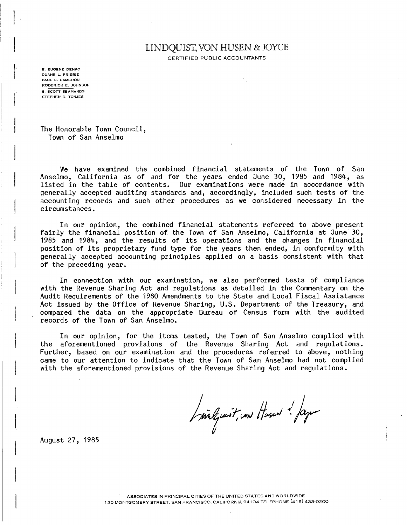# LINDQUIST, VON HUSEN & JOYCE

CERTIFIED PUBLIC ACCOUNTANTS

E. EUGENE DENKO DUANE L. FRISBIE PAUL E. CAMERON RODERICK E. JOHNSON S. SCOTT SEAMANDS STEPHEN D. TONJES

ar a faoi an t-aiste.<br>Tagairtí

The Honorable Town Council, Town of San Anselmo

We have examined the combined financial statements of the Town of San Anselmo, California as of and for the years ended June 30, 1985 and 1984, as listed in the table of contents. Our examinations were made in accordance with generally accepted auditing standards and, accordingly, included such tests of the accounting records and such other procedures as we considered necessary in the circumstances.

In our opinion, the combined financial statements referred to above present fairly the financial position of the Town of San Anselmo, California at June 30, 1985 and 1984, and the results of its operations and the changes in financial position of its proprietary fund type for the years then ended, in conformity with generally accepted accounting principles applied on a basis consistent with that of the preceding year.

In connection with our examination, we also performed tests of compliance with the Revenue Sharing Act and regulations as detailed in the Commentary on the Audit Requirements of the 1980 Amendments to the State and Local Fiscal Assistance Act issued by the Office of Revenue Sharing, U.S. Department of the Treasury, and compared the data on the appropriate Bureau of Census form with the audited records of the Town of San Anselmo.

In our opinion, for the items tested, the Town of San Anselmo complied with the aforementioned provisions of the Revenue Sharing Act and regulations. Further, based on our examination and the procedures referred to above, nothing came to our attention to indicate that the Town of San Anselmo had not complied with the aforementioned provisions of the Revenue Sharing Act and regulations.

Inilgurit, un Husen ! Jage

August 27, 1985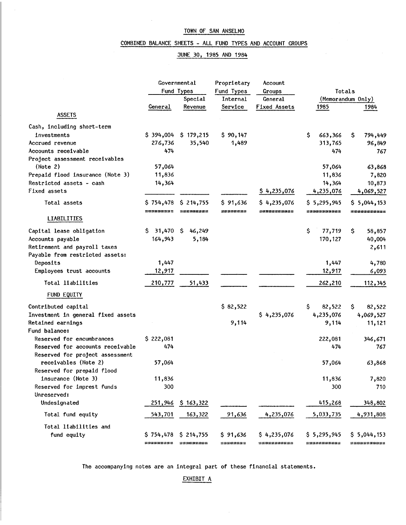$\sim$ 

#### COMBINED BALANCE SHEETS - ALL FUND TYPES AND ACCOUNT GROUPS

#### JUNE 30, 1985 AND 1984

|                                    | Governmental |                       | Proprietary | Account      |               |                   |  |  |
|------------------------------------|--------------|-----------------------|-------------|--------------|---------------|-------------------|--|--|
|                                    |              | Fund Types            | Fund Types  | Groups       | Totals        |                   |  |  |
|                                    | Special      |                       | Internal    | General      |               | (Memorandum Only) |  |  |
|                                    | General      | Revenue               | Service     | Fixed Assets | 1985          | 1984              |  |  |
| <b>ASSETS</b>                      |              |                       |             |              |               |                   |  |  |
| Cash, including short-term         |              |                       |             |              |               |                   |  |  |
| investments                        |              | $$394,004$ $$179,215$ | \$90,147    |              | \$<br>663,366 | \$.<br>794,449    |  |  |
| Accrued revenue                    | 276,736      | 35,540                | 1,489       |              | 313,765       | 96,849            |  |  |
| Accounts receivable                | 474          |                       |             |              | 474           | 767               |  |  |
| Project assessment receivables     |              |                       |             |              |               |                   |  |  |
| (Note 2)                           | 57,064       |                       |             |              | 57,064        | 63,868            |  |  |
| Prepaid flood insurance (Note 3)   | 11,836       |                       |             |              | 11,836        | 7,820             |  |  |
| Restricted assets - cash           | 14,364       |                       |             |              | 14,364        | 10,873            |  |  |
| Fixed assets                       |              |                       |             | \$4,235,076  | 4,235,076     | 4,069,527         |  |  |
| Total assets                       | \$754,478    | \$214,755             | \$91,636    | \$4,235,076  | \$5,295,945   | \$5,044,153       |  |  |
|                                    | ========     |                       | ========    | ===========  | ===========   | ==========        |  |  |
| <b>LIABILITIES</b>                 |              |                       |             |              |               |                   |  |  |
| Capital lease obligation           | \$31,470     | S.<br>46,249          |             |              | \$<br>77,719  | \$<br>58,857      |  |  |
| Accounts payable                   | 164,943      | 5,184                 |             |              | 170,127       | 40,004            |  |  |
| Retirement and payroll taxes       |              |                       |             |              |               | 2,611             |  |  |
| Payable from restricted assets:    |              |                       |             |              |               |                   |  |  |
| Deposits                           | 1,447        |                       |             |              | 1,447         | 4,780             |  |  |
| Employees trust accounts           | 12,917       |                       |             |              | 12,917        | 6,093             |  |  |
| Total liabilities                  | 210,777      | 51,433                |             |              | 262,210       | 112,345           |  |  |
| FUND EQUITY                        |              |                       |             |              |               |                   |  |  |
| Contributed capital                |              |                       | \$82,522    |              | \$.<br>82,522 | \$.<br>82,522     |  |  |
| Investment in general fixed assets |              |                       |             | \$4,235,076  | 4,235,076     | 4,069,527         |  |  |
| Retained earnings                  |              |                       | 9,114       |              | 9,114         | 11,121            |  |  |
| Fund balance:                      |              |                       |             |              |               |                   |  |  |
| Reserved for encumbrances          | \$222,081    |                       |             |              | 222,081       | 346,671           |  |  |
| Reserved for accounts receivable   | 474          |                       |             |              | 474           | 767               |  |  |
| Reserved for project assessment    |              |                       |             |              |               |                   |  |  |
| receivables (Note 2)               | 57,064       |                       |             |              | 57,064        | 63,868            |  |  |
| Reserved for prepaid flood         |              |                       |             |              |               |                   |  |  |
| insurance (Note 3)                 | 11,836       |                       |             |              | 11,836        | 7,820             |  |  |
| Reserved for imprest funds         | 300          |                       |             |              | 300           | 710               |  |  |
| Unreserved:                        |              |                       |             |              |               |                   |  |  |
| Undesignated                       | 251,946      | \$163,322             |             |              | 415,268       | 348,802           |  |  |
| Total fund equity                  | 543,701      | <u>163,322</u>        | 91,636      | 4,235,076    | 5,033,735     | 4,931,808         |  |  |
| Total liabilities and              |              |                       |             |              |               |                   |  |  |
| fund equity                        | \$754,478    | \$214,755             | \$91,636    | \$4,235,076  | \$5,295,945   | \$5,044,153       |  |  |
|                                    | ========     |                       | sasesses    | ===========  | ===========   | ===========       |  |  |

The accompanying notes are an integral part of these financial statements.

EXHIBIT A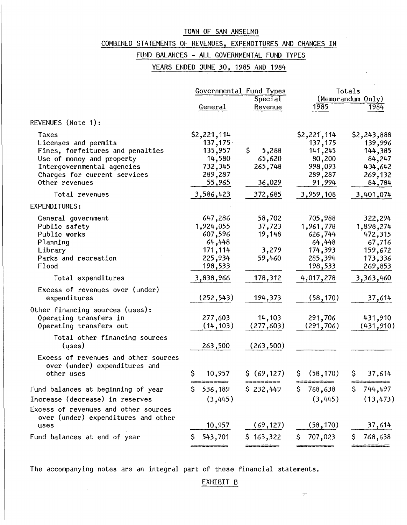### COMBINED STATEMENTS OF REVENUES, EXPENDITURES AND CHANGES IN

### FUND BALANCES - ALL GOVERNMENTAL FUND TYPES

YEARS ENDED JUNE 30, 1985 AND 1984

|                                      |               | Governmental Fund Types |                  | Totals            |
|--------------------------------------|---------------|-------------------------|------------------|-------------------|
|                                      |               | Special                 |                  | (Memorandum Only) |
|                                      | General       | Revenue                 | 1985             | 1984              |
| REVENUES (Note 1):                   |               |                         |                  |                   |
| Taxes                                | \$2,221,114   |                         | \$2,221,114      | \$2,243,888       |
| Licenses and permits                 | 137,175       |                         | 137,175          | 139,996           |
| Fines, forfeitures and penalties     | 135,957       | S.<br>5,288             | 141,245          | 144,385           |
| Use of money and property            | 14,580        | 65,620                  | 80,200           | 84,247            |
| Intergovernmental agencies           | 732,345       | 265,748                 | 998,093          | 434,642           |
| Charges for current services         | 289,287       |                         | 289,287          | 269,132           |
| Other revenues                       | 55,965        | 36,029                  | 91,994           | 84,784            |
| Total revenues                       | 3,586,423     | 372,685                 | 3,959,108        | 3,401,074         |
| EXPENDITURES:                        |               |                         |                  |                   |
| General government                   | 647,286       | 58,702                  | 705,988          | 322,294           |
| Public safety                        | 1,924,055     | 37,723                  | 1,961,778        | 1,898,274         |
| Public works                         | 607,596       | 19,148                  | 626,744          | 472,315           |
| Planning                             | 64,448        |                         | 64,448           | 67,716            |
| Library                              | 171,114       | 3,279                   | 174,393          | 159,672           |
| Parks and recreation                 | 225,934       | 59,460                  | 285,394          | 173,336           |
| Flood                                | 198,533       |                         | 198,533          | 269,853           |
| Total expenditures                   | 3,838,966     | 178,312                 | 4,017,278        | 3,363,460         |
| Excess of revenues over (under)      |               |                         |                  |                   |
| expenditures                         | (252, 543)    | 194,373                 | (58, 170)        | 37,614            |
| Other financing sources (uses):      |               |                         |                  |                   |
| Operating transfers in               | 277,603       | 14,103                  | 291,706          | 431,910           |
| Operating transfers out              | (14, 103)     | (277, 603)              | (291, 706)       | (431, 910)        |
| Total other financing sources        |               |                         |                  |                   |
| (uses)                               | 263,500       | (263,500)               |                  |                   |
| Excess of revenues and other sources |               |                         |                  |                   |
| over (under) expenditures and        |               |                         |                  |                   |
| other uses                           | \$<br>10,957  | \$ (69, 127)            | (58, 170)<br>\$. | \$.<br>37,614     |
| Fund balances at beginning of year   | 536,189<br>S. | \$232,449               | \$768,638        | \$744,497         |
| Increase (decrease) in reserves      | (3,445)       |                         | (3, 445)         | (13, 473)         |
|                                      |               |                         |                  |                   |
| Excess of revenues and other sources |               |                         |                  |                   |
| over (under) expenditures and other  |               |                         |                  |                   |
| uses                                 | 10,957        | (69, 127)               | (58, 170)        | 37,614            |
| Fund balances at end of year         | 543,701       | \$163,322               | \$.<br>707,023   | 768,638<br>\$.    |
|                                      |               |                         |                  |                   |

The accompanying notes are an integral part of these financial statements.

 $\mathcal{A}^{\mathcal{A}}$ 

EXHIBIT B

÷

 $\bar{\gamma}$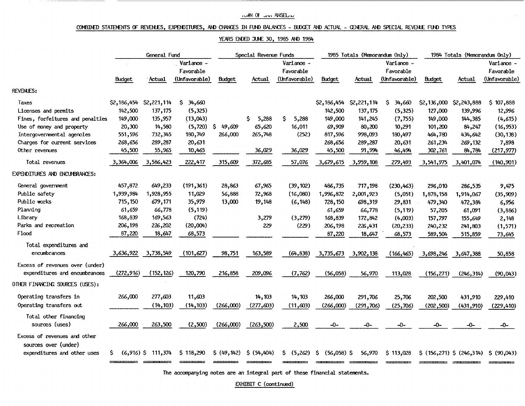#### TUMN OF JUNE ANSELIN

#### COMBINED STATEMENTS OF REVENLES, EXPENDITURES, AND CHANGES IN FUND BALANCES - BUDGET AND ACTUAL - GENERAL AND SPECIAL REVENUE FUND TYPES

#### YEARS ENDED JUNE 30, 1985 AND 1984

|                                                     | General Fund |                      |                                          |               | Special Revenue Funds |                                          |                               | 1985 Totals (Memorandum Only) |                                          |             | 1984 Totals (Memorandum Only) |                                          |  |
|-----------------------------------------------------|--------------|----------------------|------------------------------------------|---------------|-----------------------|------------------------------------------|-------------------------------|-------------------------------|------------------------------------------|-------------|-------------------------------|------------------------------------------|--|
|                                                     | Budget       | Actual               | Variance -<br>Favorable<br>(Unfavorable) | <b>Budget</b> | Actual                | Variance -<br>Favorable<br>(Unfavorable) | Budget                        | Actual                        | Variance -<br>Favorable<br>(Unfavorable) | Budget      | Actual                        | Variance -<br>Favorable<br>(Unfavorable) |  |
| <b>REVENLES:</b>                                    |              |                      |                                          |               |                       |                                          |                               |                               |                                          |             |                               |                                          |  |
| Taxes                                               | \$2,186,454  | \$2,221,114          | 34,660<br>Ş.                             |               |                       |                                          | \$2,186,454                   | \$2,221,114                   | \$<br>34,660                             | \$2,136,000 | \$2,243,888                   | 107,888<br>Ş.                            |  |
| Licenses and permits                                | 142,500      | 137,175              | (5,325)                                  |               |                       |                                          | 142,500                       | 137,175                       | (5, 325)                                 | 127,000     | 139,996                       | 12,996                                   |  |
| Fines, forfeitures and penalties                    | 149,000      | 135,957              | (13,043)                                 |               | \$.<br>5,288          | \$<br>5,288                              | 149,000                       | 141,245                       | (7, 755)                                 | 149,000     | 144,385                       | (4,615)                                  |  |
| Use of money and property                           | 20,300       | 14,580               | (5, 720)                                 | \$.<br>49,609 | 65,620                | 16,011                                   | 69,909                        | 80,200                        | 10,291                                   | 101,200     | 84,247                        | (16, 953)                                |  |
| Intergovernmental agencies                          | 551,596      | 732,345              | 180,749                                  | 266,000       | 265,748               | (252)                                    | 817,596                       | 998,093                       | 180,497                                  | 464,780     | 434,642                       | (30, 138)                                |  |
| Charges for current services                        | 268,656      | 289,287              | 20,631                                   |               |                       |                                          | 268,656                       | 289,287                       | 20,631                                   | 261,234     | 269,132                       | 7,898                                    |  |
| Other revenues                                      | 45,500       | 55,965               | 10,465                                   |               | 36,029                | 36,029                                   | 45,500                        | 91,994                        | 46,494                                   | 302,761     | 84,784                        | (217, 977)                               |  |
| Total revenues                                      | 3,364,006    | 3,586,423            | 222,417                                  | 315,609       | 372,685               | 57,076                                   | 3,679,615                     | 3,959,108                     | 279,493                                  | 3,541,975   | 3,401,074                     | (140, 901)                               |  |
| EXPENDITURES AND ENCUMBRANCES:                      |              |                      |                                          |               |                       |                                          |                               |                               |                                          |             |                               |                                          |  |
| General government                                  | 457,872      | 649,233              | (191, 361)                               | 28,863        | 67,965                | (39, 102)                                | 486,735                       | 717,198                       | (230, 463)                               | 296,010     | 286,535                       | 9,475                                    |  |
| Public safety                                       | 1,939,984    | 1,928,955            | 11,029                                   | 56,888        | 72,968                | (16,080)                                 | 1,996,872                     | 2,001,923                     | (5,051)                                  | 1,878,158   | 1,914,067                     | (35, 909)                                |  |
| Public works                                        | 715,150      | 679,171              | 35,979                                   | 13,000        | 19,148                | (6, 148)                                 | 728,150                       | 698,319                       | 29,831                                   | 479,340     | 472,384                       | 6,956                                    |  |
| Planning                                            | 61,659       | 66,778               | (5, 119)                                 |               |                       |                                          | 61,659                        | 66,778                        | (5, 119)                                 | 57,205      | 61,091                        | (3,886)                                  |  |
| Library                                             | 168,839      | 169,563              | (724)                                    |               | 3,279                 | (3,279)                                  | 168,839                       | 172,842                       | (4,003)                                  | 157,797     | 155,649                       | 2,148                                    |  |
| Parks and recreation                                | 206,198      | 226,202              | (20,004)                                 |               | 229                   | (229)                                    | 206,198                       | 226,431                       | (20, 233)                                | 240,232     | 241,803                       | (1,571)                                  |  |
| Flood                                               | 87,220       | 18,647               | 68,573                                   |               |                       |                                          | 87,220                        | 18,647                        | 68,573                                   | 589,504     | 515,859                       | 73,645                                   |  |
| Total expenditures and                              |              |                      |                                          |               |                       |                                          |                               |                               |                                          |             |                               |                                          |  |
| encumbrances                                        | 3,636,922    | 3,738,549            | (101, 627)                               | 98,751        | 163,589               | (64, 838)                                | 3,735,673                     | 3,902,138                     | (166, 465)                               | 3,698,246   | 3,647,388                     | 50,858                                   |  |
| Excess of revenues over (under)                     |              |                      |                                          |               |                       |                                          |                               |                               |                                          |             |                               |                                          |  |
| expenditures and encumbrances                       | (272, 916)   | (152, 126)           | 120,790                                  | 216,858       | 209,096               | (7, 762)                                 | (56, 058)                     | 56,970                        | 113,028                                  | (156, 271)  | (246, 314)                    | (90,043)                                 |  |
| OTHER FINANCING SOURCES (USES):                     |              |                      |                                          |               |                       |                                          |                               |                               |                                          |             |                               |                                          |  |
| Operating transfers in                              | 266,000      | 277,603              | 11,603                                   |               | 14,103                | 14,103                                   | 266,000                       | 291,706                       | 25,706                                   | 202,500     | 431,910                       | 229,410                                  |  |
| Operating transfers out                             |              | (14, 103)            | (14, 103)                                | (266,000)     | (277, 603)            | (11,603)                                 | (266,000)                     | (291,706)                     | (25,706)                                 | (202,500)   | (431,910)                     | (229, 410)                               |  |
| Total other financing                               |              |                      |                                          |               |                       |                                          |                               |                               |                                          |             |                               |                                          |  |
| sources (uses)                                      | 266,000      | 263,500              | (2,500)                                  | (266,000)     | (263,500)             | 2,500                                    | -0-                           | -0-                           | -0-                                      | -0-         | -0-                           | -0-                                      |  |
| Excess of revenues and other                        |              |                      |                                          |               |                       |                                          |                               |                               |                                          |             |                               |                                          |  |
| sources over (under)<br>expenditures and other uses | S.           | $(6,916)$ \$ 111,374 | \$118,290                                | \$ (49, 142)  | \$ (54,404)           | S.<br>(5,262)                            | $\mathsf{S}$<br>$(56,058)$ \$ | 56,970                        | \$113,028                                |             |                               | \$ (156,271) \$ (246,314) \$ (90,043)    |  |

The accompanying notes are an integral part of these financial statements.

EXHIBIT C (continued)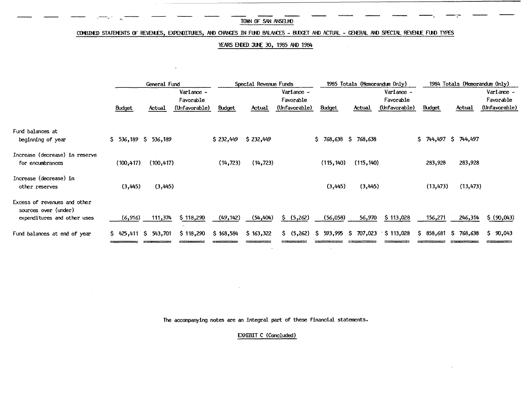#### COMBINED STATEMENTS OF REVENLES, EXPENDITURES, AND CHANCES IN FUND BALANCES - BUDGET AND ACTUAL - GENERAL AND SPECIAL REVENLE FUND TYPES

#### YEARS ENDED JUNE 30, 1985 AND 1984

|                                                                                     |               | Ceneral Fund             |                                          |               | Special Revenue Funds |                                          |                                                 | 1985 Totals (Memorandum Only) |                                          |                  | 1984 Totals (Memorandum Only) |                                          |  |
|-------------------------------------------------------------------------------------|---------------|--------------------------|------------------------------------------|---------------|-----------------------|------------------------------------------|-------------------------------------------------|-------------------------------|------------------------------------------|------------------|-------------------------------|------------------------------------------|--|
|                                                                                     | <b>Budget</b> | Actual                   | Variance -<br>Favorable<br>(Unfavorable) | <b>Budget</b> | Actual                | Variance -<br>Favorable<br>(Unfavorable) | <b>Budget</b>                                   | Actual                        | Variance -<br>Favorable<br>(Unfavorable) | <b>Budget</b>    | Actual                        | Variance -<br>Favorable<br>(Unfavorable) |  |
| Fund balances at<br>beginning of year                                               |               | $$5, 536,189$ $$536,189$ |                                          | \$232,449     | \$232,449             |                                          | \$768,638\$768,638                              |                               |                                          | 744,497 \$<br>Ŝ. | 744,497                       |                                          |  |
| Increase (decrease) in reserve<br>for encumbrances                                  | (100, 417)    | (100, 417)               |                                          | (14, 723)     | (14, 723)             |                                          | (115, 140)                                      | (115, 140)                    |                                          | 283,928          | 283,928                       |                                          |  |
| Increase (decrease) in<br>other reserves                                            | (3,445)       | (3,445)                  |                                          |               |                       |                                          | (3,445)                                         | (3, 445)                      |                                          | (13, 473)        | (13, 473)                     |                                          |  |
| Excess of revenues and other<br>sources over (under)<br>expenditures and other uses | (6,916)       | 111,374                  | \$118,290                                | (49, 142)     | (54, 404)             | S.<br>(5,262)                            | (56,058)                                        | 56,970                        | \$113,028                                | 156,271          | 246,314                       | \$ (90,043)                              |  |
| Fund balances at end of year                                                        |               | $$425,411$ $$543,701$    | \$118,290                                | \$168,584     | \$163,322             |                                          | $$$ (5,262) $$$ 593,995 $$$ 707,023 $$$ 113,028 |                               |                                          |                  | $$36,681$ $$768,638$          | \$90,043                                 |  |

The accompanying notes are an integral part of these financial statements.

EXHIBIT C (Concluded)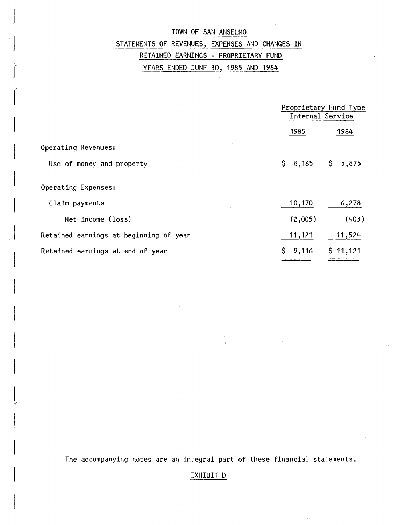## TOWN OF SAN ANSELMO STATEMENTS OF REVENUES, EXPENSES AND CHANGES IN RETAINED EARNINGS - PROPRIETARY FUND YEARS ENDED JUNE 30, 1985 AND 1984

I-I

 $\vert$ 

 $\overline{\phantom{a}}$ 

I

|                                        |         | Proprietary Fund Type<br>Internal Service |  |  |  |  |
|----------------------------------------|---------|-------------------------------------------|--|--|--|--|
|                                        | 1985    | 1984                                      |  |  |  |  |
| Operating Revenues:                    |         |                                           |  |  |  |  |
| Use of money and property              | \$8,165 | \$5,875                                   |  |  |  |  |
|                                        |         |                                           |  |  |  |  |
| Operating Expenses:                    |         |                                           |  |  |  |  |
| Claim payments                         | 10,170  | 6,278                                     |  |  |  |  |
| Net income (loss)                      | (2,005) | (403)                                     |  |  |  |  |
| Retained earnings at beginning of year | 11,121  | 11,524                                    |  |  |  |  |
| Retained earnings at end of year       | \$9,116 | \$11,121                                  |  |  |  |  |
|                                        |         |                                           |  |  |  |  |

The accompanying notes are an integral part of these financial statements.

 $\epsilon$ 

EXHIBIT D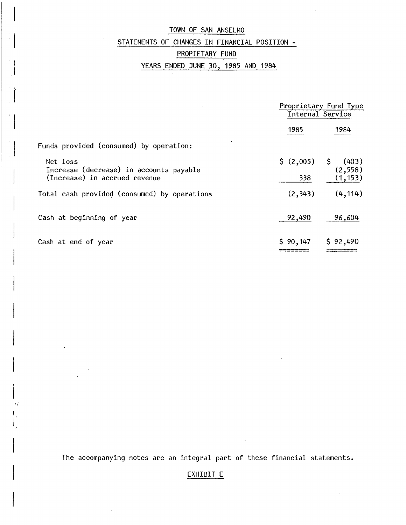### STATEMENTS OF CHANGES IN FINANCIAL POSITION -

### PROPIETARY FUND

I I

 $\vert$ 

 $\vert$ 

### YEARS ENDED JUNE 30, 1985 AND 1984

|                                                     | Proprietary Fund Type<br>Internal Service |          |  |  |
|-----------------------------------------------------|-------------------------------------------|----------|--|--|
|                                                     | 1985                                      | 1984     |  |  |
| Funds provided (consumed) by operation:             |                                           |          |  |  |
| Net loss<br>Increase (decrease) in accounts payable | $$(2,005)$ $$(403)$                       | (2, 558) |  |  |
| (Increase) in accrued revenue                       | 338                                       | (1, 153) |  |  |
| Total cash provided (consumed) by operations        | (2, 343)                                  | (4, 114) |  |  |
| Cash at beginning of year                           | 92,490                                    | 96,604   |  |  |
| Cash at end of year                                 | \$90,147                                  | \$92,490 |  |  |

The accompanying notes are an integral part of these financial statements.

### EXHIBIT E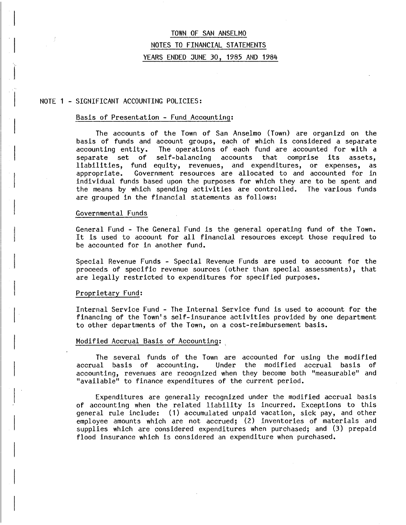#### NOTE 1 - SIGNIFICANT ACCOUNTING POLICIES:

J

#### Basis of Presentation - Fund Accounting:

The accounts of the Town of San Anselmo (Town) are organizd on the basis of funds and account groups, each of which is considered a separate accounting entity. The operations of each fund are accounted for with a The operations of each fund are accounted for with a separate set of self-balancing accounts that comprise its assets, liabilities, fund equity, revenues, and expenditures, or expenses, as appropriate. Government resources are allocated to and accounted for in individual funds based upon the purposes for which they are to be spent and the means by which spending activities are controlled. The various funds are grouped in the financial statements as follows:

#### Governmental Funds

General Fund - The General Fund is the general operating fund of the Town. It is used to account for all financial resources except those required to be accounted for in another fund.

Special Revenue Funds - Special Revenue Funds are used to account for the proceeds of specific revenue sources (other than special assessments), that are legally restricted to expenditures for specified purposes.

#### Proprietary Fund:

Internal Service Fund - The Internal Service fund is used to account for the financing of the Town's self-insurance activities provided by one department to other departments of the Town, on a cost-reimbursement basis.

#### Modified Accrual Basis of Accounting:

The several funds of the Town are accounted for using the modified accrual basis of accounting. Under the modified accrual basis of Under the modified accrual accounting, revenues are recognized when they become both "measurable" and "available" to finance expenditures of the current period.

Expenditures are generally recognized under the modified accrual basis of accounting when the related liability is incurred. Exceptions to this general rule include: (1) accumulated unpaid vacation, sick pay, and other employee amounts which are not accrued; (2) inventories of materials and supplies which are considered expenditures when purchased; and (3) prepaid flood insurance which is considered an expenditure when purchased.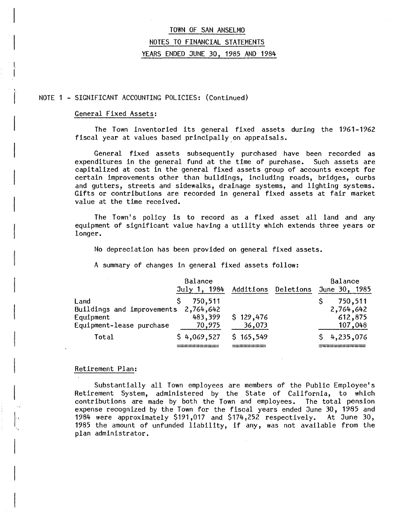#### NOTE 1 - SIGNIFICANT ACCOUNTING POLICIES: (Continued)

#### General Fixed Assets:

L  $\vert$ 

 $\int_0^1$ 

 $\vert$ 

 $\overline{\phantom{a}}$ 

I

I,

I

The Town inventoried its general fixed assets during the 1961-1962 fiscal year at values based principally on appraisals.

General fixed assets subsequently purchased have been recorded as<br>ditures in the general fund at the time of purchase. Such assets are expenditures in the general fund at the time of purchase. capitalized at cost in the general fixed assets group of accounts except for certain improvements other than buildings, including roads, bridges, curbs and gutters, streets and sidewalks, drainage systems, and lighting systems. Gifts or contributions are recorded in general fixed assets at fair market value at the time received.

The Town's policy is to record as a fixed asset all land and any equipment of significant value having a utility which extends three years or longer.

No depreciation has been provided on general fixed assets.

A summary of changes in general fixed assets follow:

|                            | Balance      |           |                     | Balance       |         |
|----------------------------|--------------|-----------|---------------------|---------------|---------|
|                            | July 1, 1984 |           | Additions Deletions | June 30, 1985 |         |
| Land                       | 750,511      |           |                     | 750,511       |         |
| Buildings and improvements | 2,764,642    |           |                     | 2,764,642     |         |
| Equipment                  | 483,399      | \$129,476 |                     | 612,875       |         |
| Equipment-lease purchase   | 70,975       | 36,073    |                     |               | 107,048 |
| Total                      | \$4,069,527  | \$165,549 |                     | \$4,235,076   |         |
|                            |              |           |                     |               |         |

#### Retirement Plan:

Substantially all Town employees are members of the Public Employee's Retirement System, administered by the State of California, to which contributions are made by both the Town and employees. The total pension expense recognized by the Town for the fiscal years ended June 30, 1985 and 1984 were approximately \$191,017 and \$174,252 respectively. At June 30, 1985 the amount of unfunded liability, if any, was not available from the plan administrator.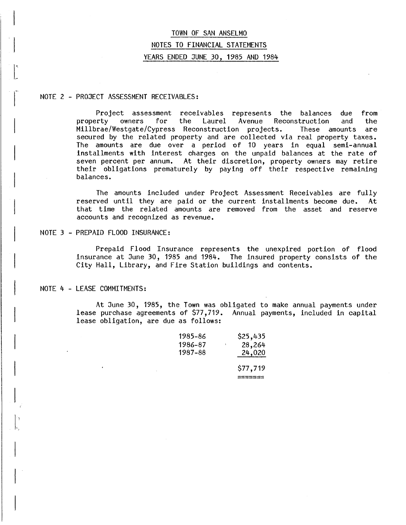#### NOTE 2 - PROJECT ASSESSMENT RECEIVABLES:

 $\begin{array}{c} \hline \end{array}$ 

 $\overline{\phantom{a}}$ 

 $\vert_{\mathbf{t}_{\perp}}$ 

 $\vert$ 

Project assessment receivables represents the balances due from<br>property owners for the Laurel Avenue Reconstruction and the owners for the Laurel Avenue Reconstruction and the Millbrae/Westgate/Cypress Reconstruction projects. These amounts are secured by the related property and are collected via real property taxes. The amounts are due over a period of 10 years in equal semi-annual installments with interest charges on the unpaid balances at the rate of seven percent per annum. At their discretion, property owners may retire their obligations prematurely by paying off their respective remaining balances.

The amounts included under Project Assessment Receivables are fully reserved until they are paid or the current installments become due. At that time the related amounts are removed from the asset and reserve accounts and recognized as revenue.

#### NOTE 3 - PREPAID FLOOD INSURANCE:

Prepaid Flood Insurance represents the unexpired portion of flood insurance at June 30, 1985 and 1984. The insured property consists of the City Hall, Library, and Fire Station buildings and contents.

#### NOTE 4 - LEASE COMMITMENTS:

At June 30, 1985, the Town was obligated to make annual payments under lease purchase agreements of \$77,719. Annual payments, included in capital lease obligation, are due as follows:

| 1985–86 | \$25,435 |
|---------|----------|
| 1986-87 | 28,264   |
| 1987–88 | 24,020   |
|         | \$77,719 |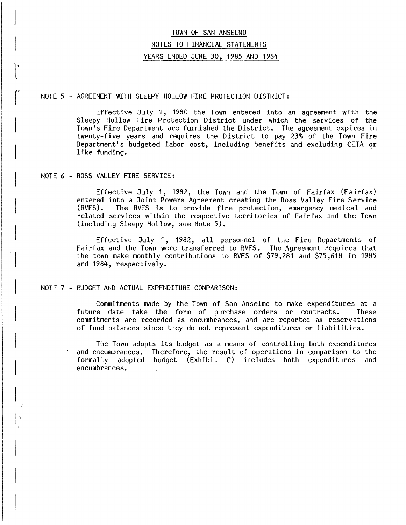#### NOTE 5 - AGREEMENT WITH SLEEPY HOLLOW FIRE PROTECTION DISTRICT:

Effective July 1, 1980 the Town entered into an agreement with the Sleepy Hollow Fire Protection District under which the services of the Town's Fire Department are furnished the District. The agreement expires in twenty-five years and requires the District to pay 23% of the Town Fire Department's budgeted labor cost, including benefits and excluding CETA or like funding.

#### NOTE 6 - ROSS VALLEY FIRE SERVICE:

 $\overline{\phantom{a}}$ 

 $\int_{-\infty}^{\infty}$ 

research in the control of the control of the control of the control of the control of the control of the control of the control of the control of the control of the control of the control of the control of the control of

 $\vert$ 

 $\big| \big|_{\mathcal{P}_{\mu_{\alpha}}}$ 

 $\vert$ 

Effective July 1, 1982, the Town and the Town of Fairfax (Fairfax) entered into a Joint Powers Agreement creating the Ross Valley Fire Service<br>(RVFS). The RVFS is to provide fire protection, emergency medical and The RVFS is to provide fire protection, emergency medical and related services within the respective territories of Fairfax and the Town (including Sleepy Hollow, see Note 5).

Effective July 1, 1982, all personnel of the Fire Departments of Fairfax and the Town were transferred to RVFS. The Agreement requires that the town make monthly contributions to RVFS of \$79,281 and \$75,618 in 1985 and 1984, respectively.

#### NOTE 7 - BUDGET AND ACTUAL EXPENDITURE COMPARISON:

Commitments made by the Town of San Anselmo to make expenditures at a future date take the form of purchase orders or contracts. These commitments are recorded as encumbrances, and are reported as reservations of fund balances since they do not represent expenditures or liabilities.

The Town adopts its budget as a means of controlling both expenditures and encumbrances. Therefore, the result of operations in comparison to the and encumbrances. Therefore, the result of operations in comparison to the formally adopted budget (Exhibit C) includes both expenditures and adopted budget (Exhibit C) includes both expenditures and encumbrances.